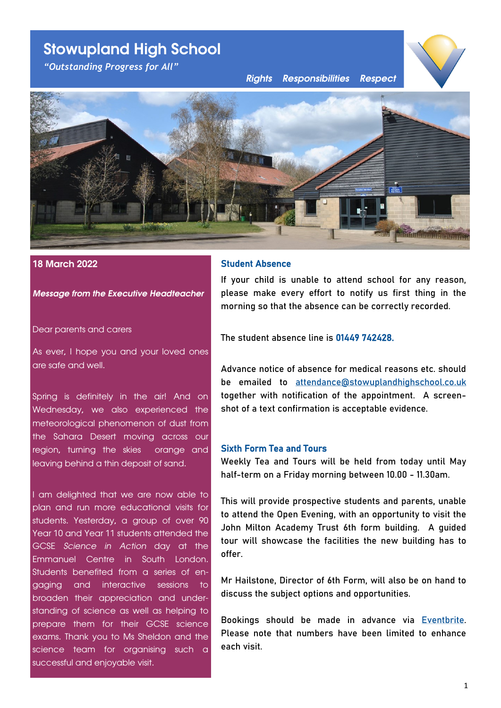# **Stowupland High School**

*"Outstanding Progress for All"*

*Rights Responsibilities Respect*





## **18 March 2022**

#### *Message from the Executive Headteacher*

#### Dear parents and carers

As ever, I hope you and your loved ones are safe and well.

Spring is definitely in the air! And on Wednesday, we also experienced the meteorological phenomenon of dust from the Sahara Desert moving across our region, turning the skies orange and leaving behind a thin deposit of sand.

I am delighted that we are now able to plan and run more educational visits for students. Yesterday, a group of over 90 Year 10 and Year 11 students attended the GCSE *Science in Action* day at the Emmanuel Centre in South London. Students benefited from a series of engaging and interactive sessions to broaden their appreciation and understanding of science as well as helping to prepare them for their GCSE science exams. Thank you to Ms Sheldon and the science team for organising such a successful and enjoyable visit.

# Student Absence

If your child is unable to attend school for any reason, please make every effort to notify us first thing in the morning so that the absence can be correctly recorded.

The student absence line is 01449 742428.

Advance notice of absence for medical reasons etc. should be emailed to [attendance@stowuplandhighschool.co.uk](mailto:attendance@stowuplandhighschool.co.uk) together with notification of the appointment. A screenshot of a text confirmation is acceptable evidence.

## Sixth Form Tea and Tours

Weekly Tea and Tours will be held from today until May half-term on a Friday morning between 10.00 - 11.30am.

This will provide prospective students and parents, unable to attend the Open Evening, with an opportunity to visit the John Milton Academy Trust 6th form building. A guided tour will showcase the facilities the new building has to offer.

Mr Hailstone, Director of 6th Form, will also be on hand to discuss the subject options and opportunities.

Bookings should be made in advance via [Eventbrite.](https://www.eventbrite.co.uk/organizations/events) Please note that numbers have been limited to enhance each visit.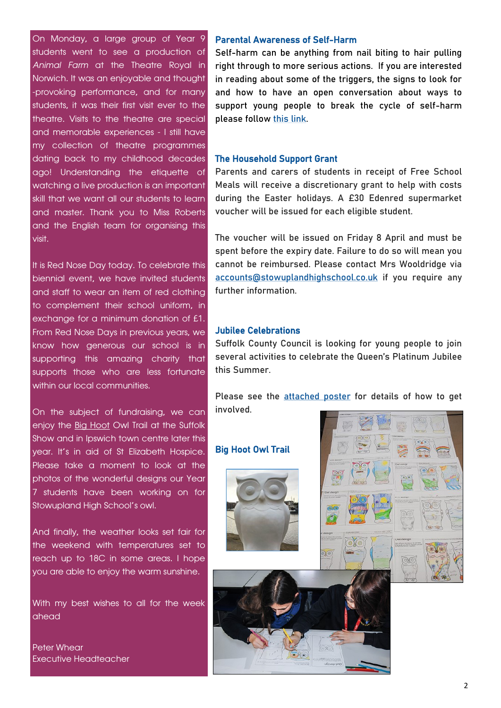<span id="page-1-0"></span>On Monday, a large group of Year 9 students went to see a production of *Animal Farm* at the Theatre Royal in Norwich. It was an enjoyable and thought -provoking performance, and for many students, it was their first visit ever to the theatre. Visits to the theatre are special and memorable experiences - I still have my collection of theatre programmes dating back to my childhood decades ago! Understanding the etiquette of watching a live production is an important skill that we want all our students to learn and master. Thank you to Miss Roberts and the English team for organising this visit.

It is Red Nose Day today. To celebrate this biennial event, we have invited students and staff to wear an item of red clothing to complement their school uniform, in exchange for a minimum donation of £1. From Red Nose Days in previous years, we know how generous our school is in supporting this amazing charity that supports those who are less fortunate within our local communities.

On the subject of fundraising, we can enjoy the [Big Hoot](https://thebighoot.co.uk/) Owl Trail at the Suffolk Show and in Ipswich town centre later this year. It's in aid of St Elizabeth Hospice. Please take a moment to look at the photos of the wonderful designs our Year 7 students have been working on for Stowupland High School's owl.

And finally, the weather looks set fair for the weekend with temperatures set to reach up to 18C in some areas. I hope you are able to enjoy the warm sunshine.

With my best wishes to all for the week ahead

Peter Whear Executive Headteacher

#### Parental Awareness of Self-Harm

Self-harm can be anything from nail biting to hair pulling right through to more serious actions. If you are interested in reading about some of the triggers, the signs to look for and how to have an open conversation about ways to support young people to break the cycle of self-harm please follow [this link.](https://www.creativeeducation.co.uk/courses/parental-awareness-of-self-harm/?utm_medium=email&_hsmi=206546776&_hsenc=p2ANqtz-8ewd4tfo189tF80nPcnODzbejyLTNpofjV_0imQ5iz7FuRWIP82U4qkq8hHXGrhzC6J6TXmfIhwIlppQOC2F_lTCp4hc2Sjf-B2r82qvKY8T7BRmo&utm_content=20654677)

#### The Household Support Grant

Parents and carers of students in receipt of Free School Meals will receive a discretionary grant to help with costs during the Easter holidays. A £30 Edenred supermarket voucher will be issued for each eligible student.

The voucher will be issued on Friday 8 April and must be spent before the expiry date. Failure to do so will mean you cannot be reimbursed. Please contact Mrs Wooldridge via [accounts@stowuplandhighschool.co.uk](#page-1-0) if you require any further information.

# Jubilee Celebrations

Suffolk County Council is looking for young people to join several activities to celebrate the Queen's Platinum Jubilee this Summer.

Please see the **[attached poster](https://drive.google.com/file/d/1sH6v3eAa2FC_CPFCJ685_kmrk8BzvRx1/view?usp=sharing)** for details of how to get involved.

#### Big Hoot Owl Trail